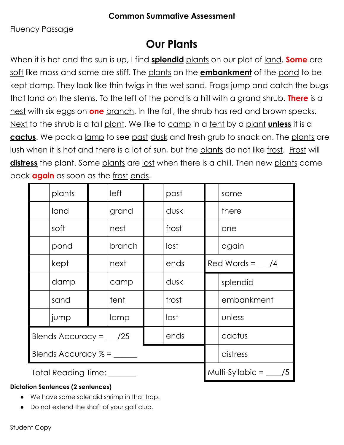Fluency Passage

## **Our Plants**

When it is hot and the sun is up, I find **splendid** plants on our plot of land. **Some** are soft like moss and some are stiff. The plants on the **embankment** of the pond to be kept damp. They look like thin twigs in the wet sand. Frogs jump and catch the bugs that land on the stems. To the left of the pond is a hill with a grand shrub. **There** is a nest with six eggs on **one** branch. In the fall, the shrub has red and brown specks. Next to the shrub is a tall plant. We like to camp in a tent by a plant **unless** it is a **cactus**. We pack a lamp to see past dusk and fresh grub to snack on. The plants are lush when it is hot and there is a lot of sun, but the plants do not like frost. Frost will distress the plant. Some plants are lost when there is a chill. Then new plants come back **again** as soon as the frost ends.

|                                        | plants |  | left   |                              | past  |                         | some       |  |
|----------------------------------------|--------|--|--------|------------------------------|-------|-------------------------|------------|--|
|                                        | land   |  | grand  |                              | dusk  |                         | there      |  |
|                                        | soft   |  | nest   |                              | frost |                         | one        |  |
|                                        | pond   |  | branch |                              | lost  |                         | again      |  |
|                                        | kept   |  | next   |                              | ends  | Red Words = $\angle$ /4 |            |  |
|                                        | damp   |  | camp   |                              | dusk  |                         | splendid   |  |
|                                        | sand   |  | tent   |                              | frost |                         | embankment |  |
|                                        | jump   |  | lamp   |                              | lost  |                         | unless     |  |
| ends<br>Blends Accuracy = $\angle$ /25 |        |  |        |                              |       | cactus                  |            |  |
|                                        |        |  |        |                              |       | distress                |            |  |
| Total Reading Time: 1976               |        |  |        | Multi-Syllabic = $\angle$ /5 |       |                         |            |  |

### **Dictation Sentences (2 sentences)**

- We have some splendid shrimp in that trap.
- Do not extend the shaft of your golf club.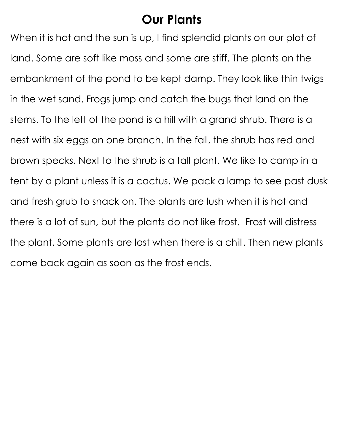## **Our Plants**

When it is hot and the sun is up, I find splendid plants on our plot of land. Some are soft like moss and some are stiff. The plants on the embankment of the pond to be kept damp. They look like thin twigs in the wet sand. Frogs jump and catch the bugs that land on the stems. To the left of the pond is a hill with a grand shrub. There is a nest with six eggs on one branch. In the fall, the shrub has red and brown specks. Next to the shrub is a tall plant. We like to camp in a tent by a plant unless it is a cactus. We pack a lamp to see past dusk and fresh grub to snack on. The plants are lush when it is hot and there is a lot of sun, but the plants do not like frost. Frost will distress the plant. Some plants are lost when there is a chill. Then new plants come back again as soon as the frost ends.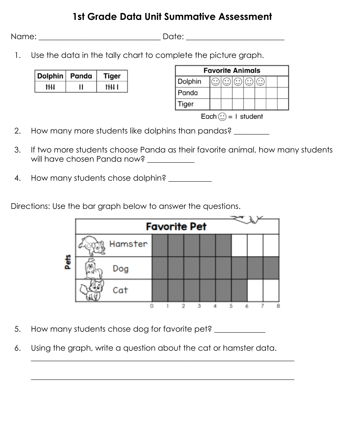### **1st Grade Data Unit Summative Assessment**

Name: \_\_\_\_\_\_\_\_\_\_\_\_\_\_\_\_\_\_\_\_\_\_\_\_\_\_\_\_\_\_\_ Date: \_\_\_\_\_\_\_\_\_\_\_\_\_\_\_\_\_\_\_\_\_\_\_\_\_

1. Use the data in the tally chart to complete the picture graph.

| Dolphin   Panda |    | Tiger |  |  |
|-----------------|----|-------|--|--|
| hН              | '' | 1 HH  |  |  |

| <b>Favorite Animals</b> |  |  |  |  |  |  |  |  |  |
|-------------------------|--|--|--|--|--|--|--|--|--|
| Dolphin                 |  |  |  |  |  |  |  |  |  |
| Panda                   |  |  |  |  |  |  |  |  |  |
| Tiger                   |  |  |  |  |  |  |  |  |  |

Each  $\odot$  = 1 student

- 2. How many more students like dolphins than pandas?
- 3. If two more students choose Panda as their favorite animal, how many students will have chosen Panda now?
- 4. How many students chose dolphin? \_\_\_\_\_\_\_\_\_\_\_

Directions: Use the bar graph below to answer the questions.

| <b>Favorite Pet</b> |  |   |                         |  |  |  |  |   |  |
|---------------------|--|---|-------------------------|--|--|--|--|---|--|
| Hamster             |  |   |                         |  |  |  |  |   |  |
| Dog                 |  |   |                         |  |  |  |  |   |  |
| Cat                 |  |   |                         |  |  |  |  |   |  |
|                     |  | o | $\overline{\mathbf{a}}$ |  |  |  |  | 8 |  |

- 5. How many students chose dog for favorite pet?
- 6. Using the graph, write a question about the cat or hamster data.

 $\overline{\phantom{a}}$  , and the contract of the contract of the contract of the contract of the contract of the contract of the contract of the contract of the contract of the contract of the contract of the contract of the contrac

\_\_\_\_\_\_\_\_\_\_\_\_\_\_\_\_\_\_\_\_\_\_\_\_\_\_\_\_\_\_\_\_\_\_\_\_\_\_\_\_\_\_\_\_\_\_\_\_\_\_\_\_\_\_\_\_\_\_\_\_\_\_\_\_\_\_\_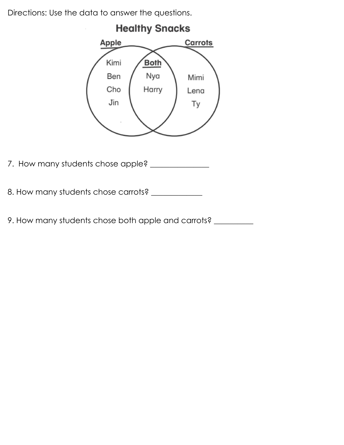Directions: Use the data to answer the questions.



7. How many students chose apple? \_\_\_\_\_\_\_\_\_\_\_\_\_\_\_

8. How many students chose carrots? \_\_\_\_\_\_\_\_\_\_\_\_\_

9. How many students chose both apple and carrots? \_\_\_\_\_\_\_\_\_\_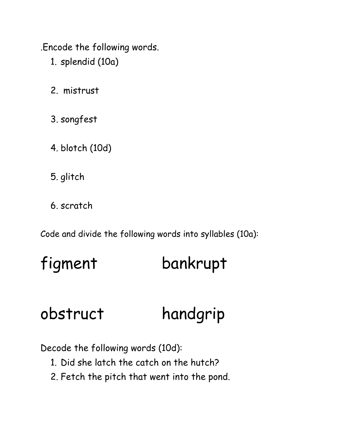.Encode the following words.

- 1. splendid (10a)
- 2. mistrust
- 3. songfest
- 4. blotch (10d)
- 5. glitch
- 6. scratch

Code and divide the following words into syllables (10a):

# figment bankrupt

# obstruct handgrip

Decode the following words (10d):

- 1. Did she latch the catch on the hutch?
- 2. Fetch the pitch that went into the pond.